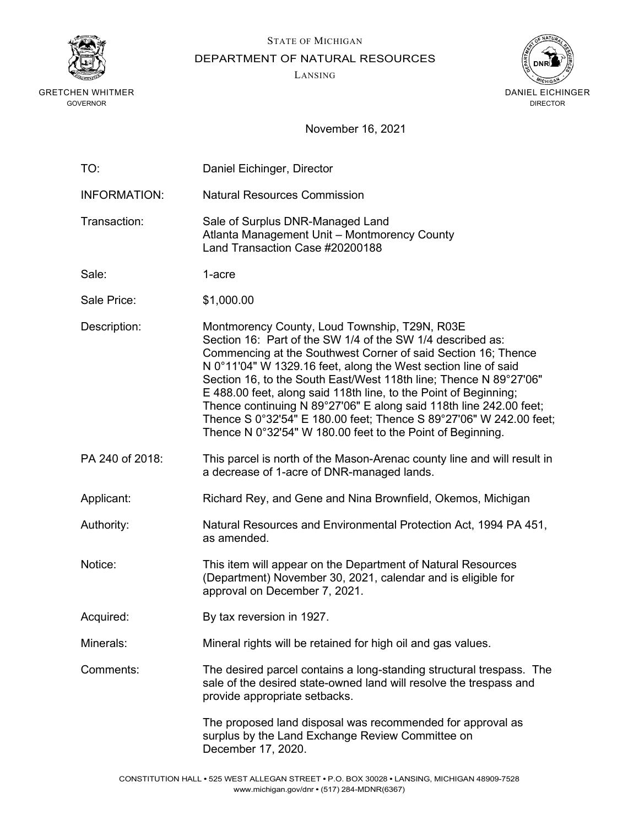

STATE OF MICHIGAN

DEPARTMENT OF NATURAL RESOURCES

LANSING



| TO:                 | Daniel Eichinger, Director                                                                                                                                                                                                                                                                                                                                                                                                                                                                                                                                                                        |
|---------------------|---------------------------------------------------------------------------------------------------------------------------------------------------------------------------------------------------------------------------------------------------------------------------------------------------------------------------------------------------------------------------------------------------------------------------------------------------------------------------------------------------------------------------------------------------------------------------------------------------|
| <b>INFORMATION:</b> | <b>Natural Resources Commission</b>                                                                                                                                                                                                                                                                                                                                                                                                                                                                                                                                                               |
| Transaction:        | Sale of Surplus DNR-Managed Land<br>Atlanta Management Unit - Montmorency County<br>Land Transaction Case #20200188                                                                                                                                                                                                                                                                                                                                                                                                                                                                               |
| Sale:               | 1-acre                                                                                                                                                                                                                                                                                                                                                                                                                                                                                                                                                                                            |
| Sale Price:         | \$1,000.00                                                                                                                                                                                                                                                                                                                                                                                                                                                                                                                                                                                        |
| Description:        | Montmorency County, Loud Township, T29N, R03E<br>Section 16: Part of the SW 1/4 of the SW 1/4 described as:<br>Commencing at the Southwest Corner of said Section 16; Thence<br>N 0°11'04" W 1329.16 feet, along the West section line of said<br>Section 16, to the South East/West 118th line; Thence N 89°27'06"<br>E 488.00 feet, along said 118th line, to the Point of Beginning;<br>Thence continuing N 89°27'06" E along said 118th line 242.00 feet;<br>Thence S 0°32'54" E 180.00 feet; Thence S 89°27'06" W 242.00 feet;<br>Thence N 0°32'54" W 180.00 feet to the Point of Beginning. |
| PA 240 of 2018:     | This parcel is north of the Mason-Arenac county line and will result in<br>a decrease of 1-acre of DNR-managed lands.                                                                                                                                                                                                                                                                                                                                                                                                                                                                             |
| Applicant:          | Richard Rey, and Gene and Nina Brownfield, Okemos, Michigan                                                                                                                                                                                                                                                                                                                                                                                                                                                                                                                                       |
| Authority:          | Natural Resources and Environmental Protection Act, 1994 PA 451,<br>as amended.                                                                                                                                                                                                                                                                                                                                                                                                                                                                                                                   |
| Notice:             | This item will appear on the Department of Natural Resources<br>(Department) November 30, 2021, calendar and is eligible for<br>approval on December 7, 2021.                                                                                                                                                                                                                                                                                                                                                                                                                                     |
| Acquired:           | By tax reversion in 1927.                                                                                                                                                                                                                                                                                                                                                                                                                                                                                                                                                                         |
| Minerals:           | Mineral rights will be retained for high oil and gas values.                                                                                                                                                                                                                                                                                                                                                                                                                                                                                                                                      |
| Comments:           | The desired parcel contains a long-standing structural trespass. The<br>sale of the desired state-owned land will resolve the trespass and<br>provide appropriate setbacks.                                                                                                                                                                                                                                                                                                                                                                                                                       |
|                     | The proposed land disposal was recommended for approval as<br>surplus by the Land Exchange Review Committee on<br>December 17, 2020.                                                                                                                                                                                                                                                                                                                                                                                                                                                              |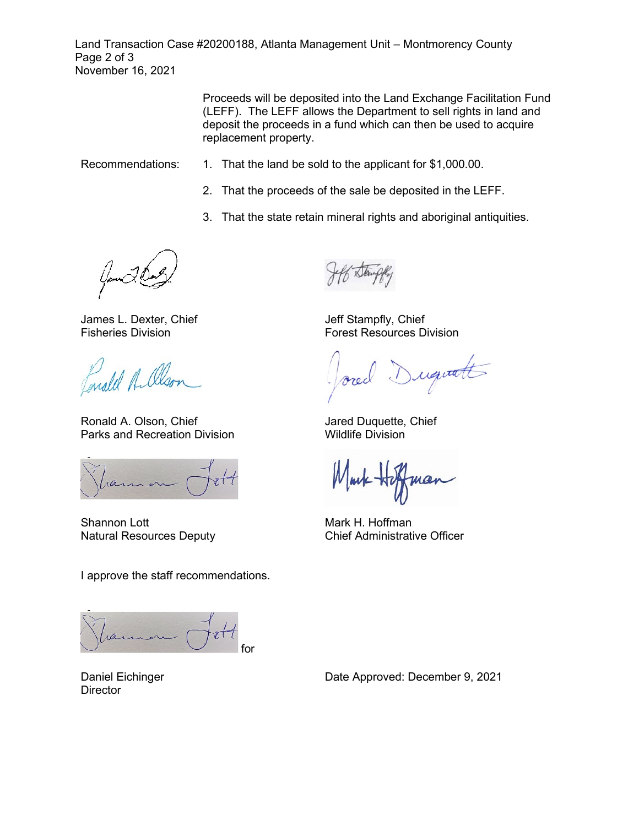Land Transaction Case #20200188, Atlanta Management Unit – Montmorency County Page 2 of 3 November 16, 2021

> Proceeds will be deposited into the Land Exchange Facilitation Fund (LEFF). The LEFF allows the Department to sell rights in land and deposit the proceeds in a fund which can then be used to acquire replacement property.

- Recommendations: 1. That the land be sold to the applicant for \$1,000.00.
	- 2. That the proceeds of the sale be deposited in the LEFF.
	- 3. That the state retain mineral rights and aboriginal antiquities.

James L. Dexter, Chief Fisheries Division

analel A. Olso

Ronald A. Olson, Chief Parks and Recreation Division

ra

Shannon Lott Natural Resources Deputy

I approve the staff recommendations.

for

Daniel Eichinger **Director** 

Jeff Stampfly, Chief Forest Resources Division

Duquatt

Jared Duquette, Chief Wildlife Division

Mark H. Hoffman Chief Administrative Officer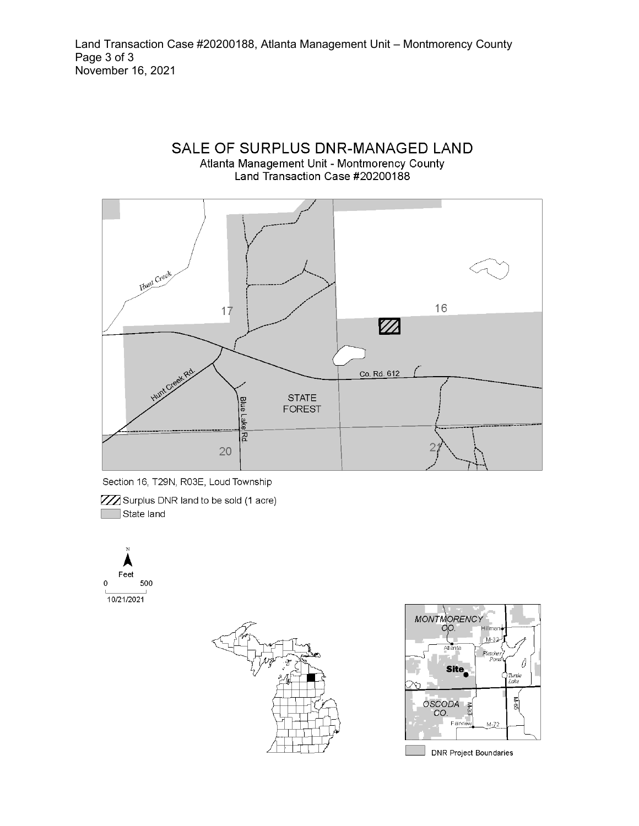Land Transaction Case #20200188, Atlanta Management Unit - Montmorency County Page 3 of 3 November 16, 2021

### SALE OF SURPLUS DNR-MANAGED LAND Atlanta Management Unit - Montmorency County Land Transaction Case #20200188



Section 16, T29N, R03E, Loud Township

**ZZ** Surplus DNR land to be sold (1 acre) State land







**DNR Project Boundaries**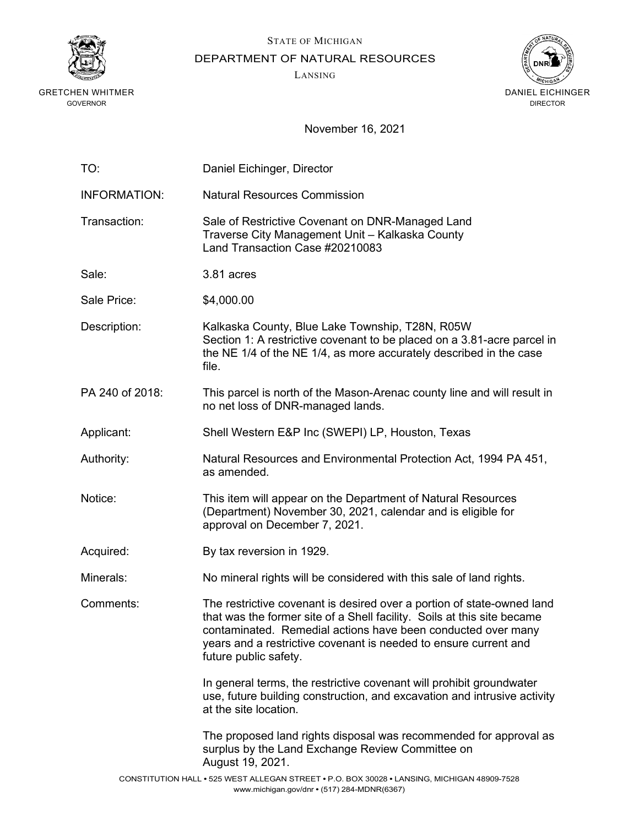

STATE OF MICHIGAN

DEPARTMENT OF NATURAL RESOURCES

LANSING



| TO:                 | Daniel Eichinger, Director                                                                                                                                                                                                                                                                                     |
|---------------------|----------------------------------------------------------------------------------------------------------------------------------------------------------------------------------------------------------------------------------------------------------------------------------------------------------------|
| <b>INFORMATION:</b> | <b>Natural Resources Commission</b>                                                                                                                                                                                                                                                                            |
| Transaction:        | Sale of Restrictive Covenant on DNR-Managed Land<br>Traverse City Management Unit - Kalkaska County<br>Land Transaction Case #20210083                                                                                                                                                                         |
| Sale:               | 3.81 acres                                                                                                                                                                                                                                                                                                     |
| Sale Price:         | \$4,000.00                                                                                                                                                                                                                                                                                                     |
| Description:        | Kalkaska County, Blue Lake Township, T28N, R05W<br>Section 1: A restrictive covenant to be placed on a 3.81-acre parcel in<br>the NE 1/4 of the NE 1/4, as more accurately described in the case<br>file.                                                                                                      |
| PA 240 of 2018:     | This parcel is north of the Mason-Arenac county line and will result in<br>no net loss of DNR-managed lands.                                                                                                                                                                                                   |
| Applicant:          | Shell Western E&P Inc (SWEPI) LP, Houston, Texas                                                                                                                                                                                                                                                               |
| Authority:          | Natural Resources and Environmental Protection Act, 1994 PA 451,<br>as amended.                                                                                                                                                                                                                                |
| Notice:             | This item will appear on the Department of Natural Resources<br>(Department) November 30, 2021, calendar and is eligible for<br>approval on December 7, 2021.                                                                                                                                                  |
| Acquired:           | By tax reversion in 1929.                                                                                                                                                                                                                                                                                      |
| Minerals:           | No mineral rights will be considered with this sale of land rights.                                                                                                                                                                                                                                            |
| Comments:           | The restrictive covenant is desired over a portion of state-owned land<br>that was the former site of a Shell facility. Soils at this site became<br>contaminated. Remedial actions have been conducted over many<br>years and a restrictive covenant is needed to ensure current and<br>future public safety. |
|                     | In general terms, the restrictive covenant will prohibit groundwater<br>use, future building construction, and excavation and intrusive activity<br>at the site location.                                                                                                                                      |
|                     | The proposed land rights disposal was recommended for approval as<br>surplus by the Land Exchange Review Committee on<br>August 19, 2021.                                                                                                                                                                      |
|                     | CONSTITUTION HALL . 525 WEST ALLEGAN STREET . P.O. BOX 30028 . LANSING, MICHIGAN 48909-7528<br>www.michigan.gov/dnr • (517) 284-MDNR(6367)                                                                                                                                                                     |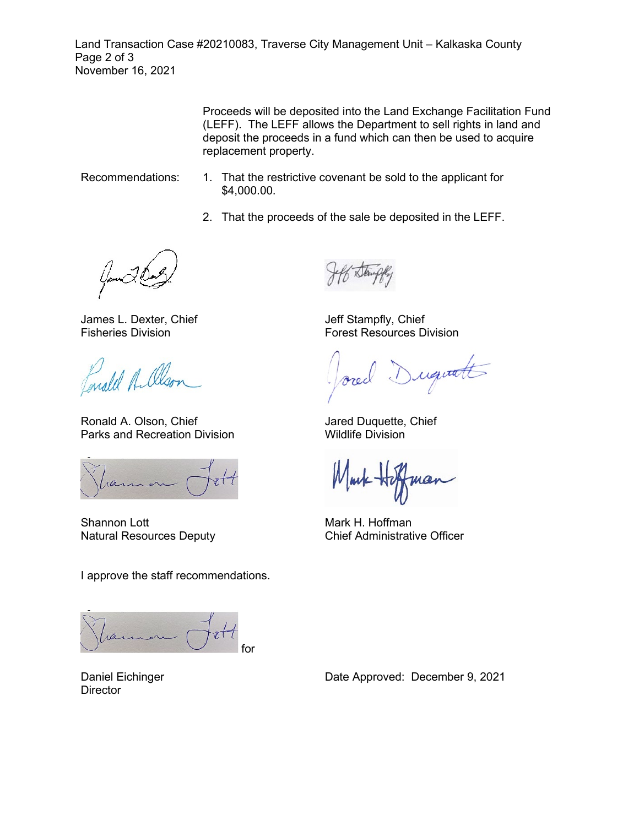Land Transaction Case #20210083, Traverse City Management Unit – Kalkaska County Page 2 of 3 November 16, 2021

> Proceeds will be deposited into the Land Exchange Facilitation Fund (LEFF). The LEFF allows the Department to sell rights in land and deposit the proceeds in a fund which can then be used to acquire replacement property.

- Recommendations: 1. That the restrictive covenant be sold to the applicant for \$4,000.00.
	- 2. That the proceeds of the sale be deposited in the LEFF.

James L. Dexter, Chief Fisheries Division

Paralel A. Olso

Ronald A. Olson, Chief Parks and Recreation Division

ran

Shannon Lott Natural Resources Deputy

I approve the staff recommendations.

for

Daniel Eichinger **Director** 

Jeff Stampfly, Chief Forest Resources Division

Duquatt

Jared Duquette, Chief Wildlife Division

Mark H. Hoffman Chief Administrative Officer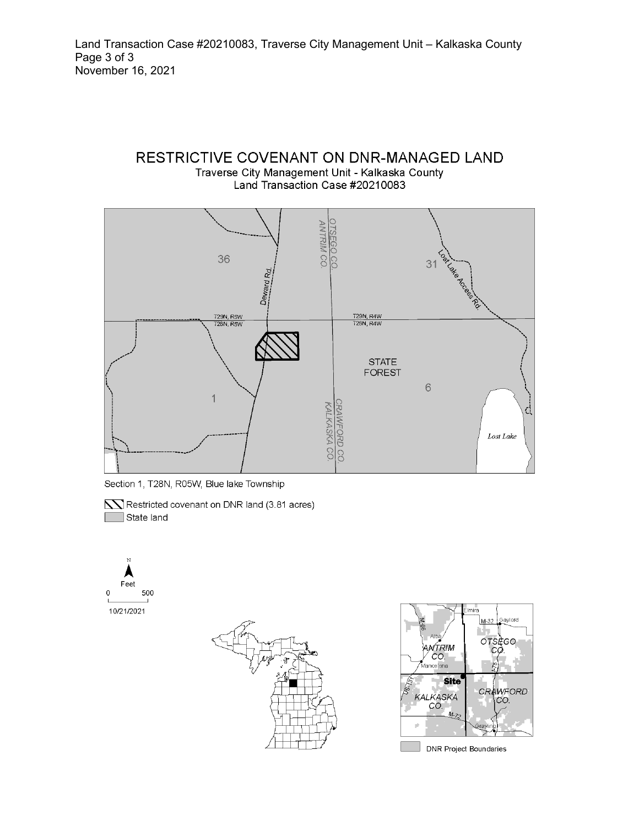# RESTRICTIVE COVENANT ON DNR-MANAGED LAND Traverse City Management Unit - Kalkaska County

Land Transaction Case #20210083



Section 1, T28N, R05W, Blue lake Township









**DNR Project Boundaries**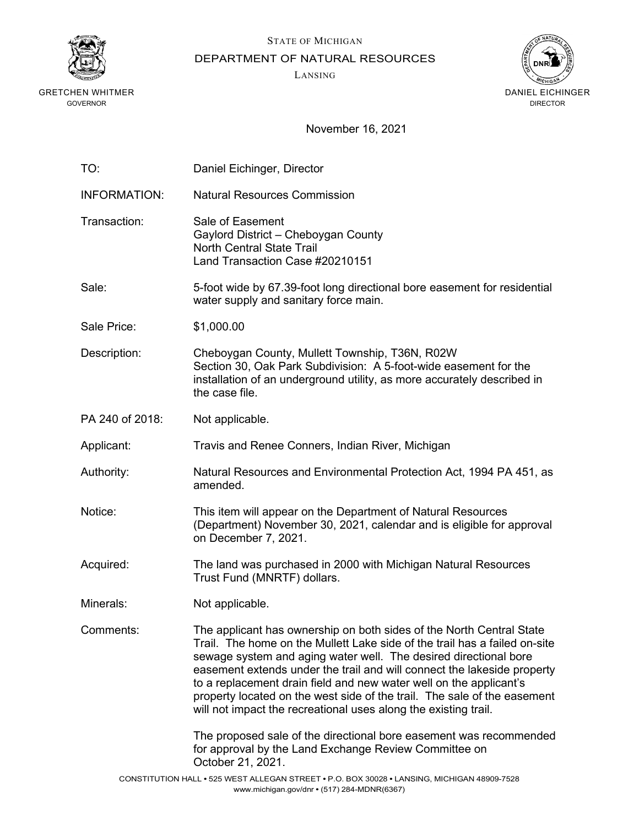

STATE OF MICHIGAN

DEPARTMENT OF NATURAL RESOURCES

LANSING



| TO:                 | Daniel Eichinger, Director                                                                                                                                                                                                                                                                                                                                                                                                                                                                                             |
|---------------------|------------------------------------------------------------------------------------------------------------------------------------------------------------------------------------------------------------------------------------------------------------------------------------------------------------------------------------------------------------------------------------------------------------------------------------------------------------------------------------------------------------------------|
| <b>INFORMATION:</b> | <b>Natural Resources Commission</b>                                                                                                                                                                                                                                                                                                                                                                                                                                                                                    |
| Transaction:        | Sale of Easement<br>Gaylord District - Cheboygan County<br><b>North Central State Trail</b><br>Land Transaction Case #20210151                                                                                                                                                                                                                                                                                                                                                                                         |
| Sale:               | 5-foot wide by 67.39-foot long directional bore easement for residential<br>water supply and sanitary force main.                                                                                                                                                                                                                                                                                                                                                                                                      |
| Sale Price:         | \$1,000.00                                                                                                                                                                                                                                                                                                                                                                                                                                                                                                             |
| Description:        | Cheboygan County, Mullett Township, T36N, R02W<br>Section 30, Oak Park Subdivision: A 5-foot-wide easement for the<br>installation of an underground utility, as more accurately described in<br>the case file.                                                                                                                                                                                                                                                                                                        |
| PA 240 of 2018:     | Not applicable.                                                                                                                                                                                                                                                                                                                                                                                                                                                                                                        |
| Applicant:          | Travis and Renee Conners, Indian River, Michigan                                                                                                                                                                                                                                                                                                                                                                                                                                                                       |
| Authority:          | Natural Resources and Environmental Protection Act, 1994 PA 451, as<br>amended.                                                                                                                                                                                                                                                                                                                                                                                                                                        |
| Notice:             | This item will appear on the Department of Natural Resources<br>(Department) November 30, 2021, calendar and is eligible for approval<br>on December 7, 2021.                                                                                                                                                                                                                                                                                                                                                          |
| Acquired:           | The land was purchased in 2000 with Michigan Natural Resources<br>Trust Fund (MNRTF) dollars.                                                                                                                                                                                                                                                                                                                                                                                                                          |
| Minerals:           | Not applicable.                                                                                                                                                                                                                                                                                                                                                                                                                                                                                                        |
| Comments:           | The applicant has ownership on both sides of the North Central State<br>Trail. The home on the Mullett Lake side of the trail has a failed on-site<br>sewage system and aging water well. The desired directional bore<br>easement extends under the trail and will connect the lakeside property<br>to a replacement drain field and new water well on the applicant's<br>property located on the west side of the trail. The sale of the easement<br>will not impact the recreational uses along the existing trail. |
|                     | The proposed sale of the directional bore easement was recommended<br>for approval by the Land Exchange Review Committee on<br>October 21, 2021.                                                                                                                                                                                                                                                                                                                                                                       |
|                     | CONSTITUTION HALL • 525 WEST ALLEGAN STREET • P.O. BOX 30028 • LANSING, MICHIGAN 48909-7528                                                                                                                                                                                                                                                                                                                                                                                                                            |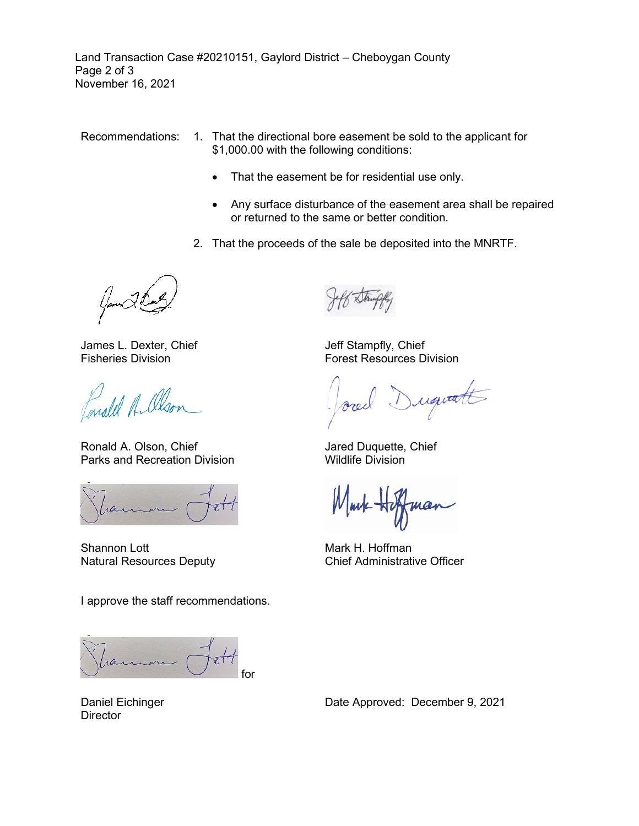Land Transaction Case #20210151, Gaylord District – Cheboygan County Page 2 of 3 November 16, 2021

Recommendations: 1. That the directional bore easement be sold to the applicant for \$1,000.00 with the following conditions:

- That the easement be for residential use only.
- Any surface disturbance of the easement area shall be repaired or returned to the same or better condition.
- 2. That the proceeds of the sale be deposited into the MNRTF.

James L. Dexter, Chief Fisheries Division

male Alson

Ronald A. Olson, Chief Parks and Recreation Division

ran

Shannon Lott Natural Resources Deputy

I approve the staff recommendations.

ran for

Jeff Stampfly, Chief Forest Resources Division

uguatt

Jared Duquette, Chief Wildlife Division

nov

Mark H. Hoffman Chief Administrative Officer

Daniel Eichinger **Director**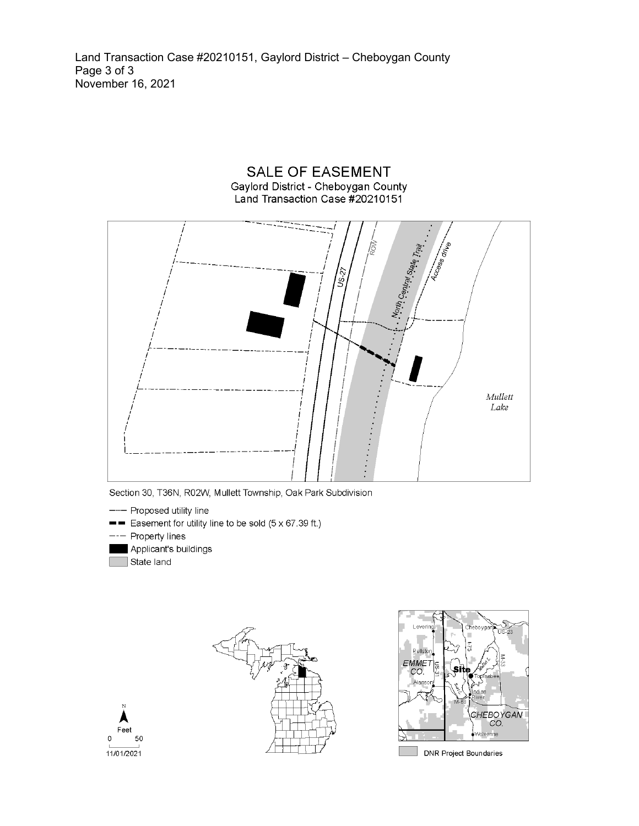Land Transaction Case #20210151, Gaylord District - Cheboygan County Page 3 of 3<br>November 16, 2021

Gaylord District - Cheboygan County<br>Land Transaction Case #20210151 , North Central Siele Trail Mullett Lake

**SALE OF EASEMENT** 

Section 30, T36N, R02W, Mullett Township, Oak Park Subdivision

- Proposed utility line
- Easement for utility line to be sold (5 x 67.39 ft.)
- Property lines
- Applicant's buildings
- State land





**DNR Project Boundaries** 

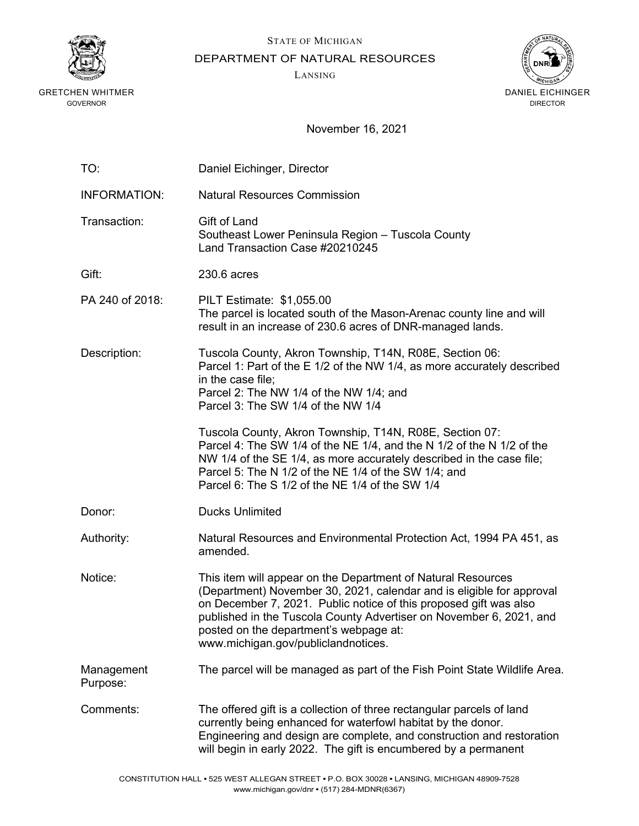

STATE OF MICHIGAN

DEPARTMENT OF NATURAL RESOURCES

LANSING



| TO:                    | Daniel Eichinger, Director                                                                                                                                                                                                                                                                                                                                         |
|------------------------|--------------------------------------------------------------------------------------------------------------------------------------------------------------------------------------------------------------------------------------------------------------------------------------------------------------------------------------------------------------------|
| <b>INFORMATION:</b>    | <b>Natural Resources Commission</b>                                                                                                                                                                                                                                                                                                                                |
| Transaction:           | Gift of Land<br>Southeast Lower Peninsula Region - Tuscola County<br>Land Transaction Case #20210245                                                                                                                                                                                                                                                               |
| Gift:                  | 230.6 acres                                                                                                                                                                                                                                                                                                                                                        |
| PA 240 of 2018:        | PILT Estimate: \$1,055.00<br>The parcel is located south of the Mason-Arenac county line and will<br>result in an increase of 230.6 acres of DNR-managed lands.                                                                                                                                                                                                    |
| Description:           | Tuscola County, Akron Township, T14N, R08E, Section 06:<br>Parcel 1: Part of the E 1/2 of the NW 1/4, as more accurately described<br>in the case file;<br>Parcel 2: The NW 1/4 of the NW 1/4; and<br>Parcel 3: The SW 1/4 of the NW 1/4                                                                                                                           |
|                        | Tuscola County, Akron Township, T14N, R08E, Section 07:<br>Parcel 4: The SW 1/4 of the NE 1/4, and the N 1/2 of the N 1/2 of the<br>NW 1/4 of the SE 1/4, as more accurately described in the case file;<br>Parcel 5: The N 1/2 of the NE 1/4 of the SW 1/4; and<br>Parcel 6: The S 1/2 of the NE 1/4 of the SW 1/4                                                |
| Donor:                 | <b>Ducks Unlimited</b>                                                                                                                                                                                                                                                                                                                                             |
| Authority:             | Natural Resources and Environmental Protection Act, 1994 PA 451, as<br>amended.                                                                                                                                                                                                                                                                                    |
| Notice:                | This item will appear on the Department of Natural Resources<br>(Department) November 30, 2021, calendar and is eligible for approval<br>on December 7, 2021. Public notice of this proposed gift was also<br>published in the Tuscola County Advertiser on November 6, 2021, and<br>posted on the department's webpage at:<br>www.michigan.gov/publiclandnotices. |
| Management<br>Purpose: | The parcel will be managed as part of the Fish Point State Wildlife Area.                                                                                                                                                                                                                                                                                          |
| Comments:              | The offered gift is a collection of three rectangular parcels of land<br>currently being enhanced for waterfowl habitat by the donor.<br>Engineering and design are complete, and construction and restoration<br>will begin in early 2022. The gift is encumbered by a permanent                                                                                  |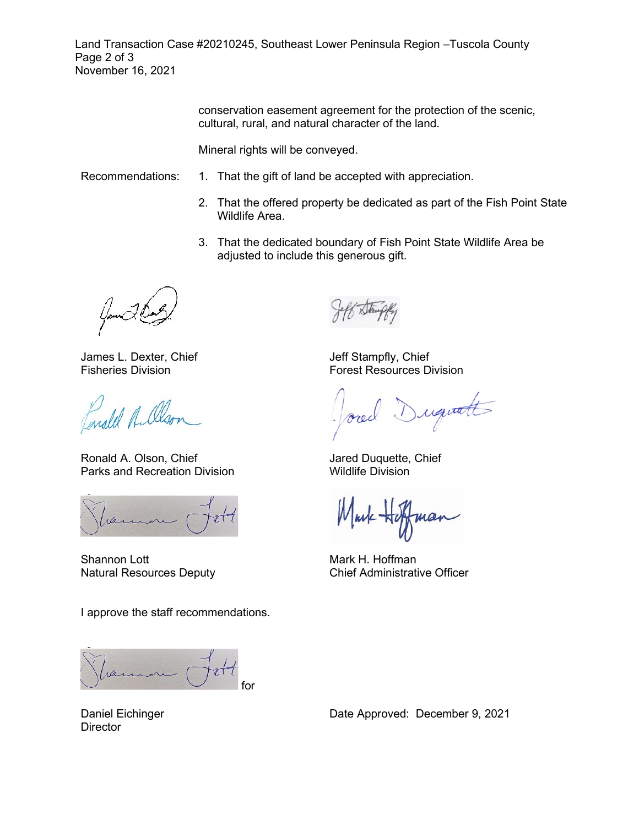Land Transaction Case #20210245, Southeast Lower Peninsula Region –Tuscola County Page 2 of 3 November 16, 2021

> conservation easement agreement for the protection of the scenic, cultural, rural, and natural character of the land.

Mineral rights will be conveyed.

- Recommendations: 1. That the gift of land be accepted with appreciation.
	- 2. That the offered property be dedicated as part of the Fish Point State Wildlife Area.
	- 3. That the dedicated boundary of Fish Point State Wildlife Area be adjusted to include this generous gift.

James L. Dexter, Chief Fisheries Division

Enald A. Olson

Ronald A. Olson, Chief Parks and Recreation Division

Shannon Lott Natural Resources Deputy

I approve the staff recommendations.

for

Jeff Stampfly, Chief Forest Resources Division

Duquatt

Jared Duquette, Chief Wildlife Division

nov

Mark H. Hoffman Chief Administrative Officer

Daniel Eichinger **Director**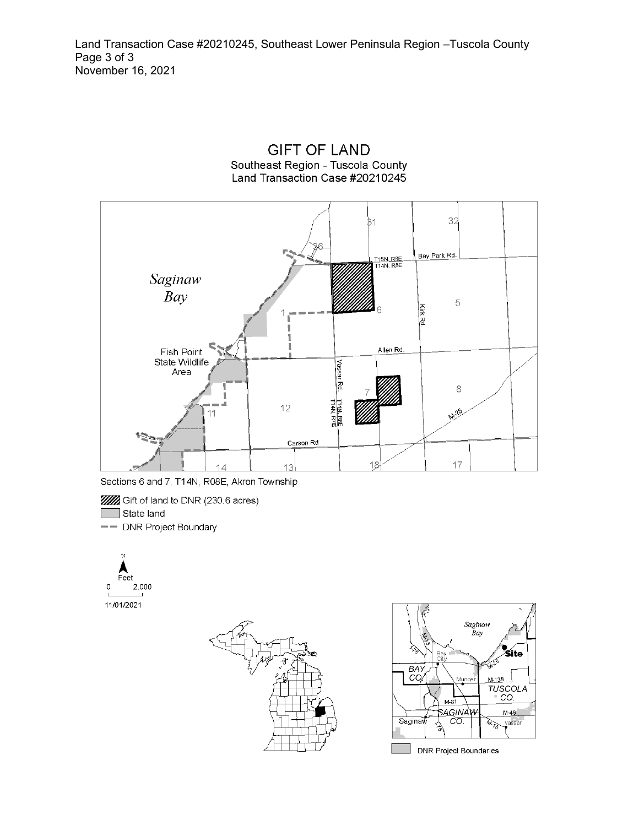



Sections 6 and 7, T14N, R08E, Akron Township

**WA** Gift of land to DNR (230.6 acres)

State land

-- DNR Project Boundary





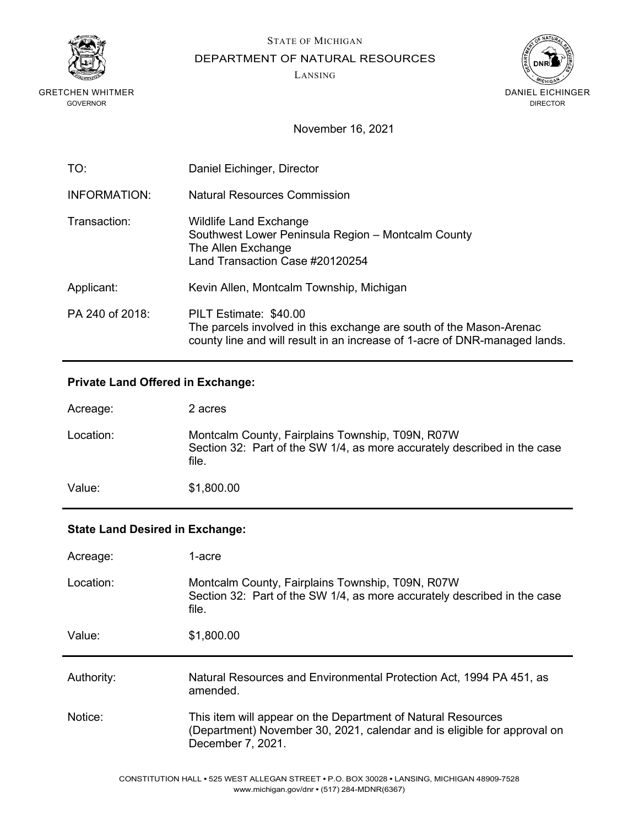

STATE OF MICHIGAN

DEPARTMENT OF NATURAL RESOURCES

LANSING



November 16, 2021

| TO:                 | Daniel Eichinger, Director                                                                                                                                                  |
|---------------------|-----------------------------------------------------------------------------------------------------------------------------------------------------------------------------|
| <b>INFORMATION:</b> | Natural Resources Commission                                                                                                                                                |
| Transaction:        | <b>Wildlife Land Exchange</b><br>Southwest Lower Peninsula Region - Montcalm County<br>The Allen Exchange<br>Land Transaction Case #20120254                                |
| Applicant:          | Kevin Allen, Montcalm Township, Michigan                                                                                                                                    |
| PA 240 of 2018:     | PILT Estimate: \$40.00<br>The parcels involved in this exchange are south of the Mason-Arenac<br>county line and will result in an increase of 1-acre of DNR-managed lands. |

# **Private Land Offered in Exchange:**

| Acreage:  | 2 acres                                                                                                                               |
|-----------|---------------------------------------------------------------------------------------------------------------------------------------|
| Location: | Montcalm County, Fairplains Township, T09N, R07W<br>Section 32: Part of the SW 1/4, as more accurately described in the case<br>file. |
| Value:    | \$1,800.00                                                                                                                            |

### **State Land Desired in Exchange:**

| Acreage:   | 1-acre                                                                                                                                |
|------------|---------------------------------------------------------------------------------------------------------------------------------------|
| Location:  | Montcalm County, Fairplains Township, T09N, R07W<br>Section 32: Part of the SW 1/4, as more accurately described in the case<br>file. |
| Value:     | \$1,800.00                                                                                                                            |
|            |                                                                                                                                       |
| Authority: | Natural Resources and Environmental Protection Act, 1994 PA 451, as<br>amended.                                                       |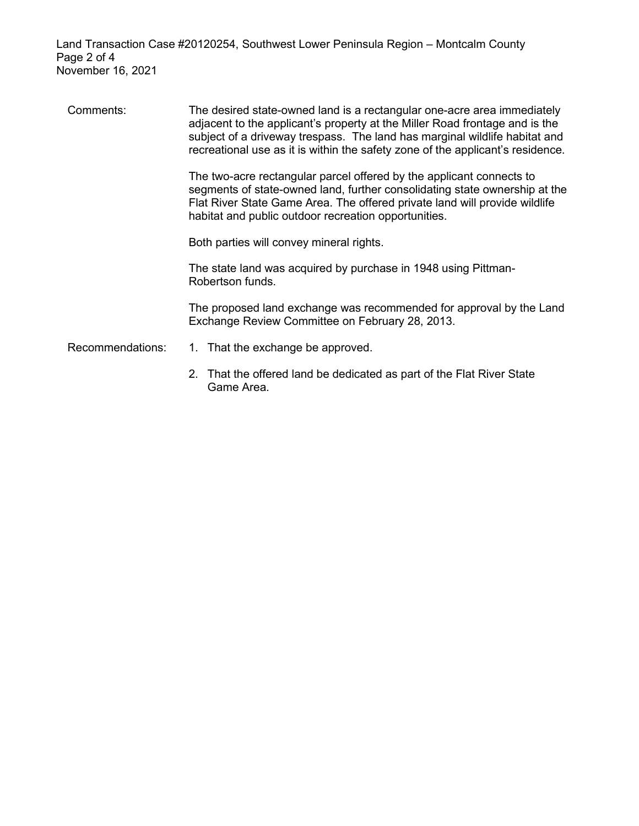Land Transaction Case #20120254, Southwest Lower Peninsula Region – Montcalm County Page 2 of 4 November 16, 2021

Comments: The desired state-owned land is a rectangular one-acre area immediately adjacent to the applicant's property at the Miller Road frontage and is the subject of a driveway trespass. The land has marginal wildlife habitat and recreational use as it is within the safety zone of the applicant's residence.

> The two-acre rectangular parcel offered by the applicant connects to segments of state-owned land, further consolidating state ownership at the Flat River State Game Area. The offered private land will provide wildlife habitat and public outdoor recreation opportunities.

Both parties will convey mineral rights.

The state land was acquired by purchase in 1948 using Pittman-Robertson funds.

The proposed land exchange was recommended for approval by the Land Exchange Review Committee on February 28, 2013.

- Recommendations: 1. That the exchange be approved.
	- 2. That the offered land be dedicated as part of the Flat River State Game Area.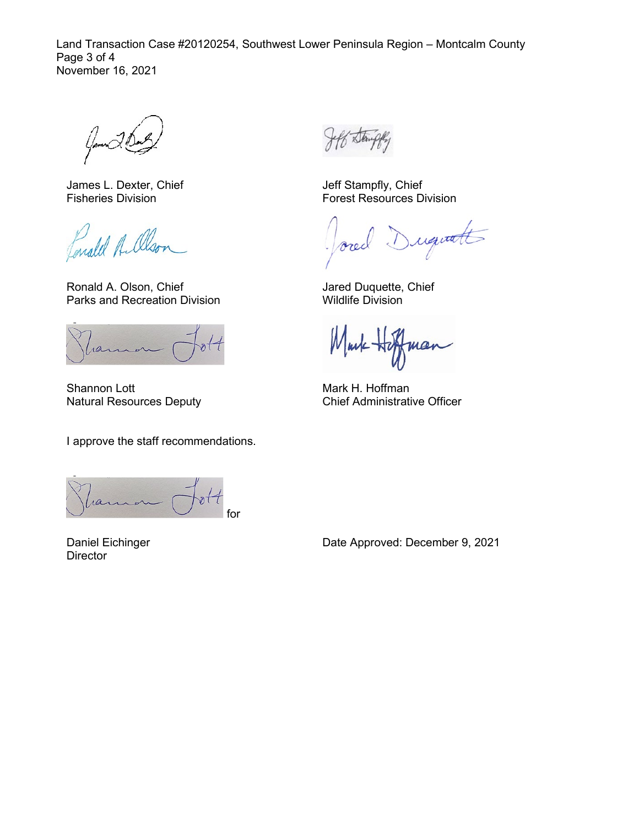Land Transaction Case #20120254, Southwest Lower Peninsula Region – Montcalm County Page 3 of 4 November 16, 2021

James L. Dexter, Chief Fisheries Division

Lonald A. Olso

Ronald A. Olson, Chief Parks and Recreation Division

Shannon Lott Natural Resources Deputy

I approve the staff recommendations.

for

Daniel Eichinger **Director** 

Jeff Stampfly, Chief Forest Resources Division

requate Arec

Jared Duquette, Chief Wildlife Division

Mm mar

Mark H. Hoffman Chief Administrative Officer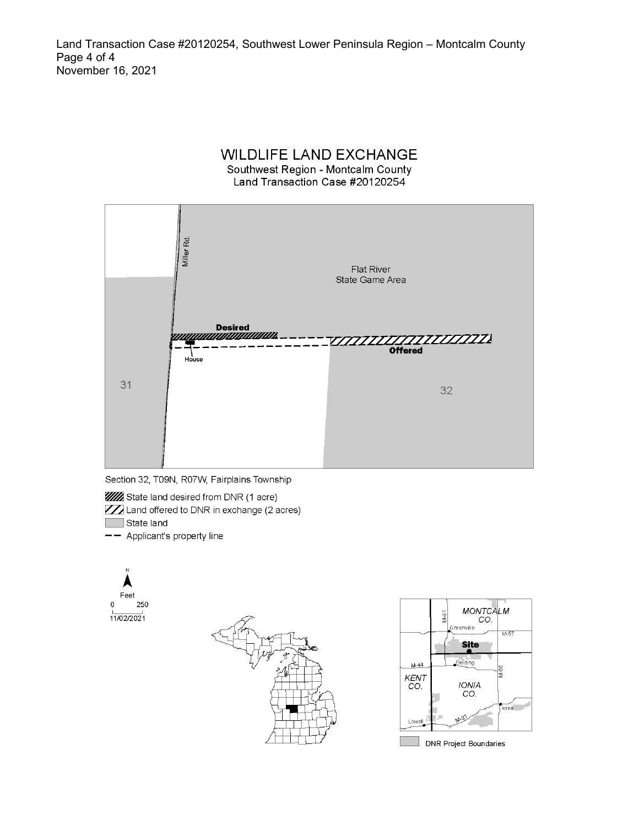Land Transaction Case #20120254, Southwest Lower Peninsula Region - Montcalm County Page 4 of 4 November 16, 2021

#### **WILDLIFE LAND EXCHANGE** Southwest Region - Montcalm County Land Transaction Case #20120254





**WA** State land desired from DNR (1 acre)

ZZ Land offered to DNR in exchange (2 acres) State land

-- Applicant's property line

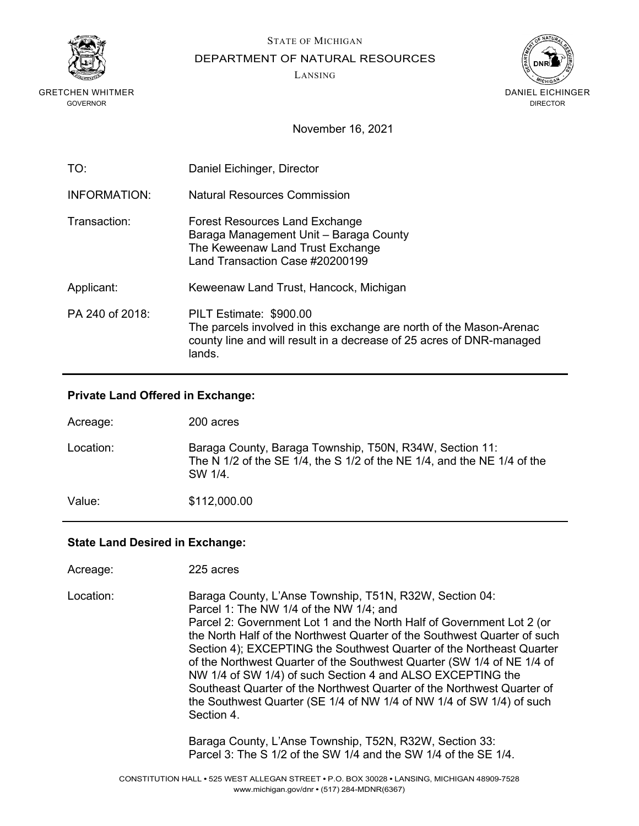

STATE OF MICHIGAN

DEPARTMENT OF NATURAL RESOURCES

LANSING



November 16, 2021

| TO:             | Daniel Eichinger, Director                                                                                                                                                       |
|-----------------|----------------------------------------------------------------------------------------------------------------------------------------------------------------------------------|
| INFORMATION:    | Natural Resources Commission                                                                                                                                                     |
| Transaction:    | <b>Forest Resources Land Exchange</b><br>Baraga Management Unit - Baraga County<br>The Keweenaw Land Trust Exchange<br>Land Transaction Case #20200199                           |
| Applicant:      | Keweenaw Land Trust, Hancock, Michigan                                                                                                                                           |
| PA 240 of 2018: | PILT Estimate: \$900.00<br>The parcels involved in this exchange are north of the Mason-Arenac<br>county line and will result in a decrease of 25 acres of DNR-managed<br>lands. |

### **Private Land Offered in Exchange:**

| Acreage:  | 200 acres                                                                                                                                                 |
|-----------|-----------------------------------------------------------------------------------------------------------------------------------------------------------|
| Location: | Baraga County, Baraga Township, T50N, R34W, Section 11:<br>The N $1/2$ of the SE $1/4$ , the S $1/2$ of the NE $1/4$ , and the NE $1/4$ of the<br>SW 1/4. |
| Value:    | \$112,000.00                                                                                                                                              |

### **State Land Desired in Exchange:**

| Acreage:  | 225 acres                                                                                                                                                                                                                                                                                                                                                                                                                                                                                                                                                                                                                               |
|-----------|-----------------------------------------------------------------------------------------------------------------------------------------------------------------------------------------------------------------------------------------------------------------------------------------------------------------------------------------------------------------------------------------------------------------------------------------------------------------------------------------------------------------------------------------------------------------------------------------------------------------------------------------|
| Location: | Baraga County, L'Anse Township, T51N, R32W, Section 04:<br>Parcel 1: The NW 1/4 of the NW 1/4; and<br>Parcel 2: Government Lot 1 and the North Half of Government Lot 2 (or<br>the North Half of the Northwest Quarter of the Southwest Quarter of such<br>Section 4); EXCEPTING the Southwest Quarter of the Northeast Quarter<br>of the Northwest Quarter of the Southwest Quarter (SW 1/4 of NE 1/4 of<br>NW 1/4 of SW 1/4) of such Section 4 and ALSO EXCEPTING the<br>Southeast Quarter of the Northwest Quarter of the Northwest Quarter of<br>the Southwest Quarter (SE 1/4 of NW 1/4 of NW 1/4 of SW 1/4) of such<br>Section 4. |
|           | Baraga County, L'Anse Township, T52N, R32W, Section 33:<br>Parcel 3: The S 1/2 of the SW 1/4 and the SW 1/4 of the SE 1/4.                                                                                                                                                                                                                                                                                                                                                                                                                                                                                                              |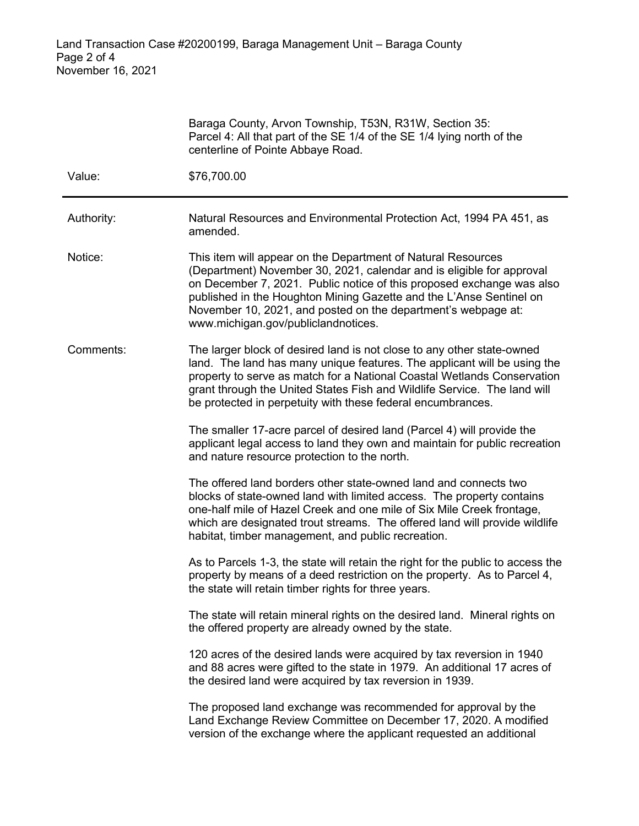|            | Baraga County, Arvon Township, T53N, R31W, Section 35:<br>Parcel 4: All that part of the SE 1/4 of the SE 1/4 lying north of the<br>centerline of Pointe Abbaye Road.                                                                                                                                                                                                                         |
|------------|-----------------------------------------------------------------------------------------------------------------------------------------------------------------------------------------------------------------------------------------------------------------------------------------------------------------------------------------------------------------------------------------------|
| Value:     | \$76,700.00                                                                                                                                                                                                                                                                                                                                                                                   |
| Authority: | Natural Resources and Environmental Protection Act, 1994 PA 451, as<br>amended.                                                                                                                                                                                                                                                                                                               |
| Notice:    | This item will appear on the Department of Natural Resources<br>(Department) November 30, 2021, calendar and is eligible for approval<br>on December 7, 2021. Public notice of this proposed exchange was also<br>published in the Houghton Mining Gazette and the L'Anse Sentinel on<br>November 10, 2021, and posted on the department's webpage at:<br>www.michigan.gov/publiclandnotices. |
| Comments:  | The larger block of desired land is not close to any other state-owned<br>land. The land has many unique features. The applicant will be using the<br>property to serve as match for a National Coastal Wetlands Conservation<br>grant through the United States Fish and Wildlife Service. The land will<br>be protected in perpetuity with these federal encumbrances.                      |
|            | The smaller 17-acre parcel of desired land (Parcel 4) will provide the<br>applicant legal access to land they own and maintain for public recreation<br>and nature resource protection to the north.                                                                                                                                                                                          |
|            | The offered land borders other state-owned land and connects two<br>blocks of state-owned land with limited access. The property contains<br>one-half mile of Hazel Creek and one mile of Six Mile Creek frontage,<br>which are designated trout streams. The offered land will provide wildlife<br>habitat, timber management, and public recreation.                                        |
|            | As to Parcels 1-3, the state will retain the right for the public to access the<br>property by means of a deed restriction on the property. As to Parcel 4,<br>the state will retain timber rights for three years.                                                                                                                                                                           |
|            | The state will retain mineral rights on the desired land. Mineral rights on<br>the offered property are already owned by the state.                                                                                                                                                                                                                                                           |
|            | 120 acres of the desired lands were acquired by tax reversion in 1940<br>and 88 acres were gifted to the state in 1979. An additional 17 acres of<br>the desired land were acquired by tax reversion in 1939.                                                                                                                                                                                 |
|            | The proposed land exchange was recommended for approval by the<br>Land Exchange Review Committee on December 17, 2020. A modified<br>version of the exchange where the applicant requested an additional                                                                                                                                                                                      |
|            |                                                                                                                                                                                                                                                                                                                                                                                               |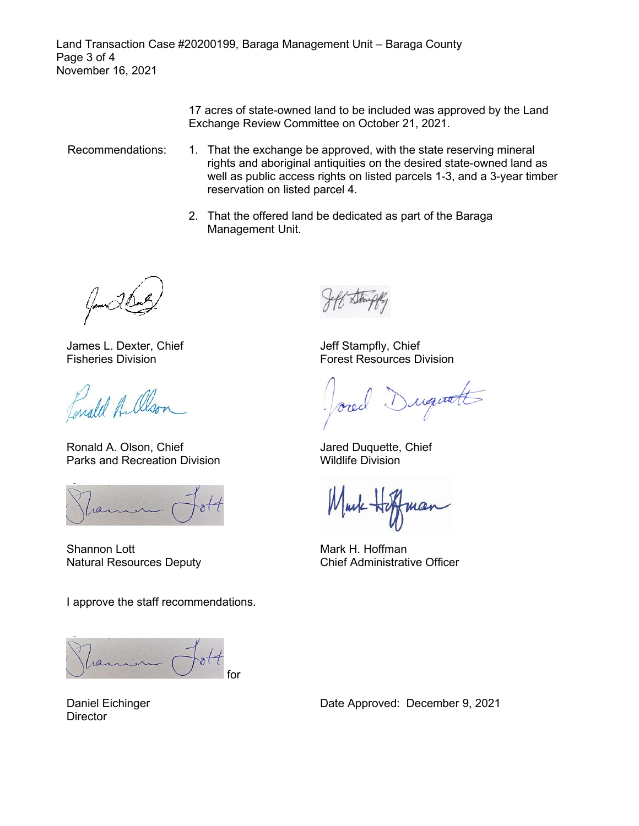Land Transaction Case #20200199, Baraga Management Unit – Baraga County Page 3 of 4 November 16, 2021

> 17 acres of state-owned land to be included was approved by the Land Exchange Review Committee on October 21, 2021.

- Recommendations: 1. That the exchange be approved, with the state reserving mineral rights and aboriginal antiquities on the desired state-owned land as well as public access rights on listed parcels 1-3, and a 3-year timber reservation on listed parcel 4.
	- 2. That the offered land be dedicated as part of the Baraga Management Unit.

James L. Dexter, Chief Fisheries Division

Fonald A. Olso

Ronald A. Olson, Chief Parks and Recreation Division

Shannon Lott Natural Resources Deputy

I approve the staff recommendations.

ran for

Jeff Stampfly, Chief Forest Resources Division

requate

Jared Duquette, Chief Wildlife Division

mar

Mark H. Hoffman Chief Administrative Officer

Daniel Eichinger **Director**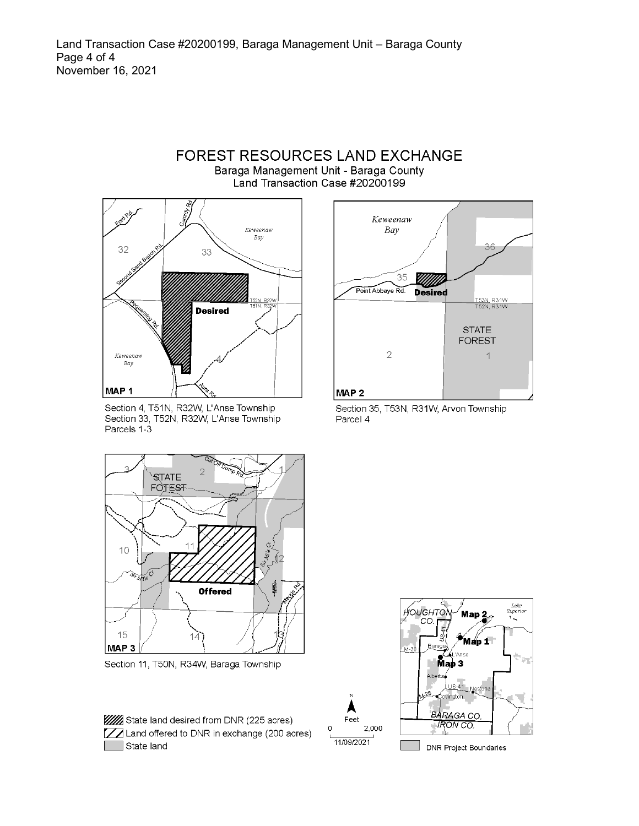

Section 4, T51N, R32W, L'Anse Township Section 33, T52N, R32W, L'Anse Township Parcels 1-3



Section 11, T50N, R34W, Baraga Township

| <b>WWW</b> State land desired from DNR (225 acres)    |
|-------------------------------------------------------|
| <b>77</b> Land offered to DNR in exchange (200 acres) |
| State land                                            |



Section 35, T53N, R31W, Arvon Township Parcel 4



**DNR Project Boundaries** 

Feet

11/09/2021

 $\Omega$ 

2,000

#### **FOREST RESOURCES LAND EXCHANGE** Baraga Management Unit - Baraga County Land Transaction Case #20200199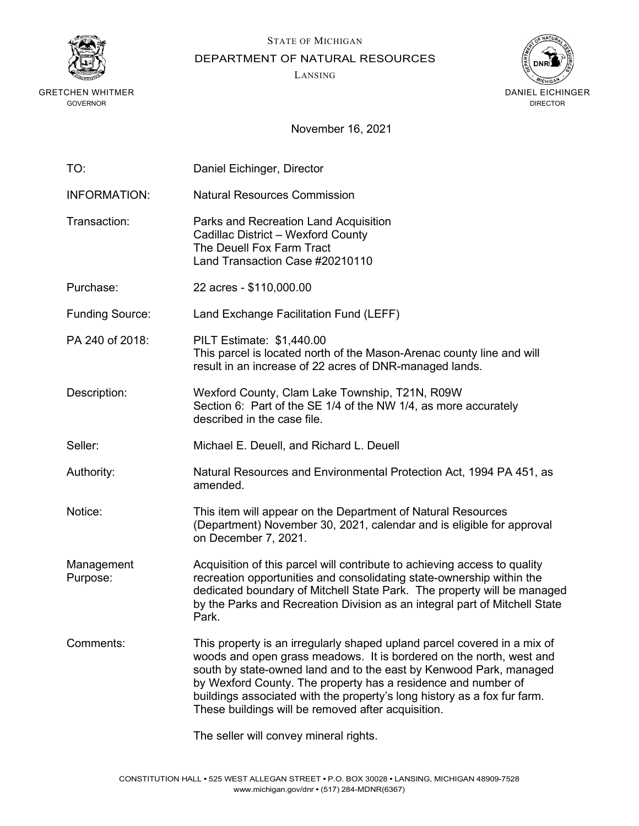

STATE OF MICHIGAN

DEPARTMENT OF NATURAL RESOURCES

LANSING



| TO:                    | Daniel Eichinger, Director                                                                                                                                                                                                                                                                                                                                                                                               |
|------------------------|--------------------------------------------------------------------------------------------------------------------------------------------------------------------------------------------------------------------------------------------------------------------------------------------------------------------------------------------------------------------------------------------------------------------------|
| <b>INFORMATION:</b>    | <b>Natural Resources Commission</b>                                                                                                                                                                                                                                                                                                                                                                                      |
| Transaction:           | Parks and Recreation Land Acquisition<br>Cadillac District - Wexford County<br>The Deuell Fox Farm Tract<br>Land Transaction Case #20210110                                                                                                                                                                                                                                                                              |
| Purchase:              | 22 acres - \$110,000.00                                                                                                                                                                                                                                                                                                                                                                                                  |
| <b>Funding Source:</b> | Land Exchange Facilitation Fund (LEFF)                                                                                                                                                                                                                                                                                                                                                                                   |
| PA 240 of 2018:        | PILT Estimate: \$1,440.00<br>This parcel is located north of the Mason-Arenac county line and will<br>result in an increase of 22 acres of DNR-managed lands.                                                                                                                                                                                                                                                            |
| Description:           | Wexford County, Clam Lake Township, T21N, R09W<br>Section 6: Part of the SE 1/4 of the NW 1/4, as more accurately<br>described in the case file.                                                                                                                                                                                                                                                                         |
| Seller:                | Michael E. Deuell, and Richard L. Deuell                                                                                                                                                                                                                                                                                                                                                                                 |
| Authority:             | Natural Resources and Environmental Protection Act, 1994 PA 451, as<br>amended.                                                                                                                                                                                                                                                                                                                                          |
| Notice:                | This item will appear on the Department of Natural Resources<br>(Department) November 30, 2021, calendar and is eligible for approval<br>on December 7, 2021.                                                                                                                                                                                                                                                            |
| Management<br>Purpose: | Acquisition of this parcel will contribute to achieving access to quality<br>recreation opportunities and consolidating state-ownership within the<br>dedicated boundary of Mitchell State Park. The property will be managed<br>by the Parks and Recreation Division as an integral part of Mitchell State<br>Park.                                                                                                     |
| Comments:              | This property is an irregularly shaped upland parcel covered in a mix of<br>woods and open grass meadows. It is bordered on the north, west and<br>south by state-owned land and to the east by Kenwood Park, managed<br>by Wexford County. The property has a residence and number of<br>buildings associated with the property's long history as a fox fur farm.<br>These buildings will be removed after acquisition. |
|                        | The seller will convey mineral rights.                                                                                                                                                                                                                                                                                                                                                                                   |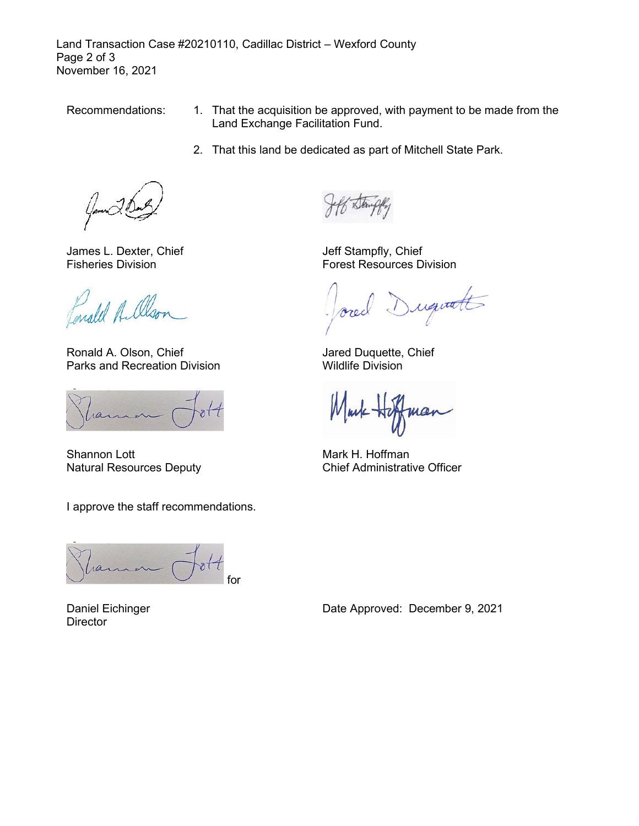Land Transaction Case #20210110, Cadillac District – Wexford County Page 2 of 3 November 16, 2021

- Recommendations: 1. That the acquisition be approved, with payment to be made from the Land Exchange Facilitation Fund.
	- 2. That this land be dedicated as part of Mitchell State Park.

James L. Dexter, Chief Fisheries Division

Conald A. Olson

Ronald A. Olson, Chief Parks and Recreation Division

Shannon Lott Natural Resources Deputy

I approve the staff recommendations.

for

Daniel Eichinger **Director** 

Jeff Stampfly, Chief Forest Resources Division

iquatt  $l_{\rm s}$ 

Jared Duquette, Chief Wildlife Division

Mark Hi mar

Mark H. Hoffman Chief Administrative Officer